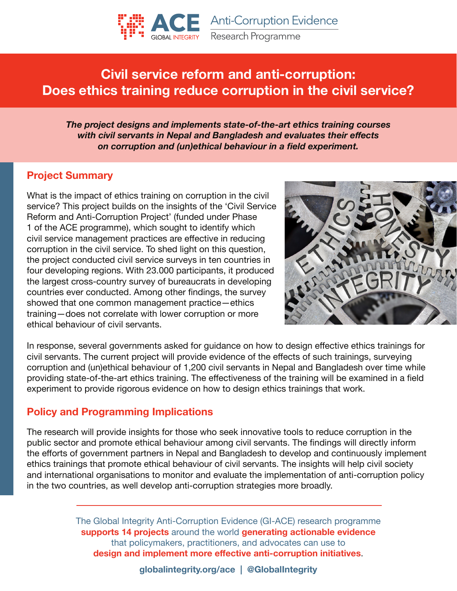

# **Civil service reform and anti-corruption: Does ethics training reduce corruption in the civil service?**

*The project designs and implements state-of-the-art ethics training courses with civil servants in Nepal and Bangladesh and evaluates their effects on corruption and (un)ethical behaviour in a field experiment.*

#### **Project Summary**

What is the impact of ethics training on corruption in the civil service? This project builds on the insights of the 'Civil Service Reform and Anti-Corruption Project' (funded under Phase 1 of the ACE programme), which sought to identify which civil service management practices are effective in reducing corruption in the civil service. To shed light on this question, the project conducted civil service surveys in ten countries in four developing regions. With 23.000 participants, it produced the largest cross-country survey of bureaucrats in developing countries ever conducted. Among other findings, the survey showed that one common management practice—ethics training—does not correlate with lower corruption or more ethical behaviour of civil servants.



In response, several governments asked for guidance on how to design effective ethics trainings for civil servants. The current project will provide evidence of the effects of such trainings, surveying corruption and (un)ethical behaviour of 1,200 civil servants in Nepal and Bangladesh over time while providing state-of-the-art ethics training. The effectiveness of the training will be examined in a field experiment to provide rigorous evidence on how to design ethics trainings that work.

#### **Policy and Programming Implications**

The research will provide insights for those who seek innovative tools to reduce corruption in the public sector and promote ethical behaviour among civil servants. The findings will directly inform the efforts of government partners in Nepal and Bangladesh to develop and continuously implement ethics trainings that promote ethical behaviour of civil servants. The insights will help civil society and international organisations to monitor and evaluate the implementation of anti-corruption policy in the two countries, as well develop anti-corruption strategies more broadly.

> The Global Integrity Anti-Corruption Evidence (GI-ACE) research programme **supports 14 projects** around the world **generating actionable evidence** that policymakers, practitioners, and advocates can use to **design and implement more effective anti-corruption initiatives**.

> > **globalintegrity.org/ace | @GlobalIntegrity**